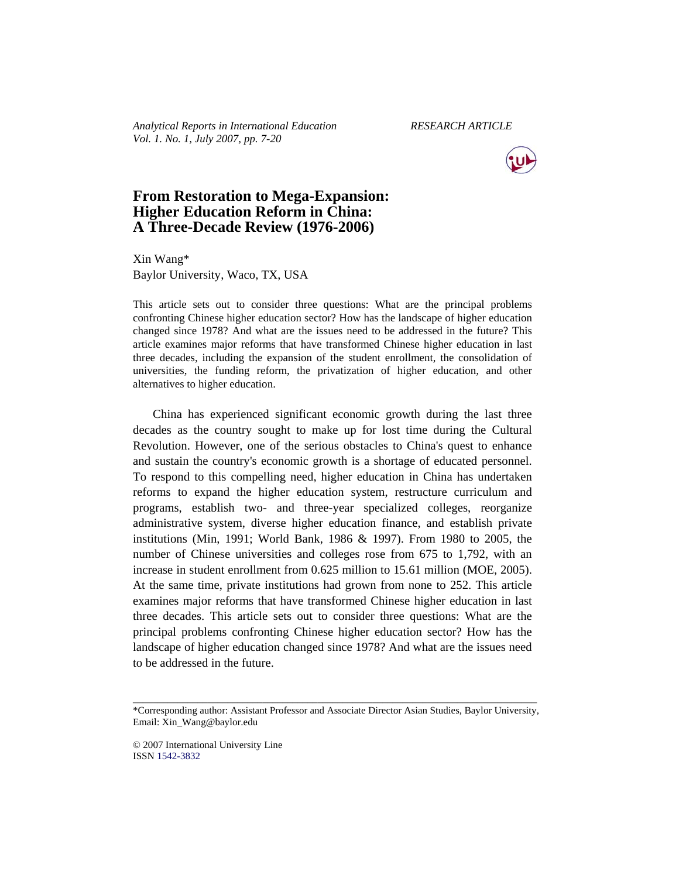*Analytical Reports in International Education RESEARCH ARTICLE Vol. 1. No. 1, July 2007, pp. 7-20* 



# **From Restoration to Mega-Expansion: Higher Education Reform in China: A Three-Decade Review (1976-2006)**

Xin Wang\* Baylor University, Waco, TX, USA

This article sets out to consider three questions: What are the principal problems confronting Chinese higher education sector? How has the landscape of higher education changed since 1978? And what are the issues need to be addressed in the future? This article examines major reforms that have transformed Chinese higher education in last three decades, including the expansion of the student enrollment, the consolidation of universities, the funding reform, the privatization of higher education, and other alternatives to higher education.

China has experienced significant economic growth during the last three decades as the country sought to make up for lost time during the Cultural Revolution. However, one of the serious obstacles to China's quest to enhance and sustain the country's economic growth is a shortage of educated personnel. To respond to this compelling need, higher education in China has undertaken reforms to expand the higher education system, restructure curriculum and programs, establish two- and three-year specialized colleges, reorganize administrative system, diverse higher education finance, and establish private institutions (Min, 1991; World Bank, 1986 & 1997). From 1980 to 2005, the number of Chinese universities and colleges rose from 675 to 1,792, with an increase in student enrollment from 0.625 million to 15.61 million (MOE, 2005). At the same time, private institutions had grown from none to 252. This article examines major reforms that have transformed Chinese higher education in last three decades. This article sets out to consider three questions: What are the principal problems confronting Chinese higher education sector? How has the landscape of higher education changed since 1978? And what are the issues need to be addressed in the future.

© 2007 International University Line ISSN 1542-3832

\_\_\_\_\_\_\_\_\_\_\_\_\_\_\_\_\_\_\_\_\_\_\_\_\_\_\_\_\_\_\_\_\_\_\_\_\_\_\_\_\_\_\_\_\_\_\_\_\_\_\_\_\_\_\_\_\_\_\_\_\_\_\_\_\_\_\_\_\_\_\_\_\_\_\_\_\_\_\_\_\_ \*Corresponding author: Assistant Professor and Associate Director Asian Studies, Baylor University, Email: Xin\_Wang@baylor.edu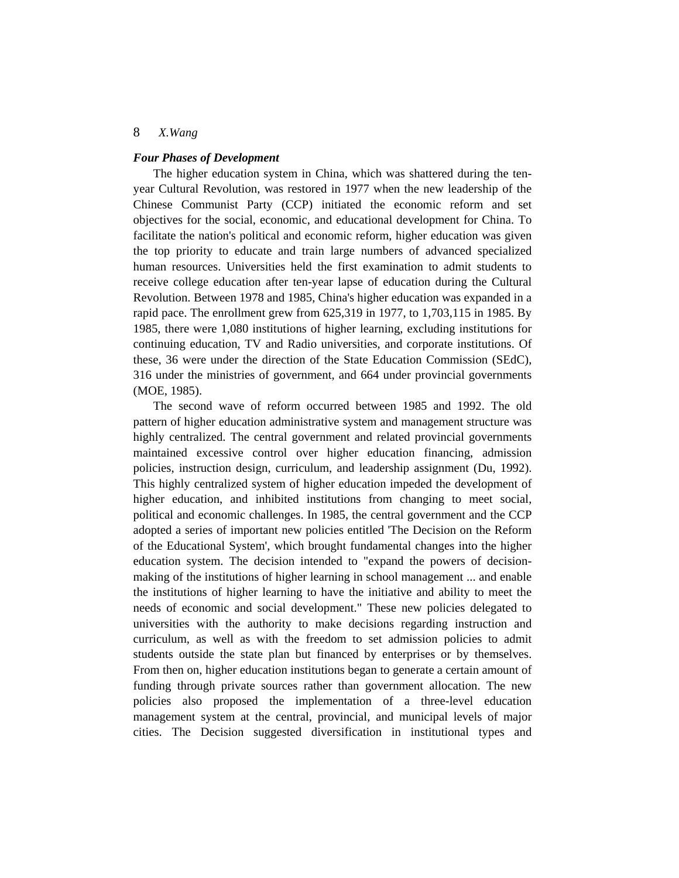#### *Four Phases of Development*

The higher education system in China, which was shattered during the tenyear Cultural Revolution, was restored in 1977 when the new leadership of the Chinese Communist Party (CCP) initiated the economic reform and set objectives for the social, economic, and educational development for China. To facilitate the nation's political and economic reform, higher education was given the top priority to educate and train large numbers of advanced specialized human resources. Universities held the first examination to admit students to receive college education after ten-year lapse of education during the Cultural Revolution. Between 1978 and 1985, China's higher education was expanded in a rapid pace. The enrollment grew from 625,319 in 1977, to 1,703,115 in 1985. By 1985, there were 1,080 institutions of higher learning, excluding institutions for continuing education, TV and Radio universities, and corporate institutions. Of these, 36 were under the direction of the State Education Commission (SEdC), 316 under the ministries of government, and 664 under provincial governments (MOE, 1985).

The second wave of reform occurred between 1985 and 1992. The old pattern of higher education administrative system and management structure was highly centralized. The central government and related provincial governments maintained excessive control over higher education financing, admission policies, instruction design, curriculum, and leadership assignment (Du, 1992). This highly centralized system of higher education impeded the development of higher education, and inhibited institutions from changing to meet social, political and economic challenges. In 1985, the central government and the CCP adopted a series of important new policies entitled 'The Decision on the Reform of the Educational System', which brought fundamental changes into the higher education system. The decision intended to "expand the powers of decisionmaking of the institutions of higher learning in school management ... and enable the institutions of higher learning to have the initiative and ability to meet the needs of economic and social development." These new policies delegated to universities with the authority to make decisions regarding instruction and curriculum, as well as with the freedom to set admission policies to admit students outside the state plan but financed by enterprises or by themselves. From then on, higher education institutions began to generate a certain amount of funding through private sources rather than government allocation. The new policies also proposed the implementation of a three-level education management system at the central, provincial, and municipal levels of major cities. The Decision suggested diversification in institutional types and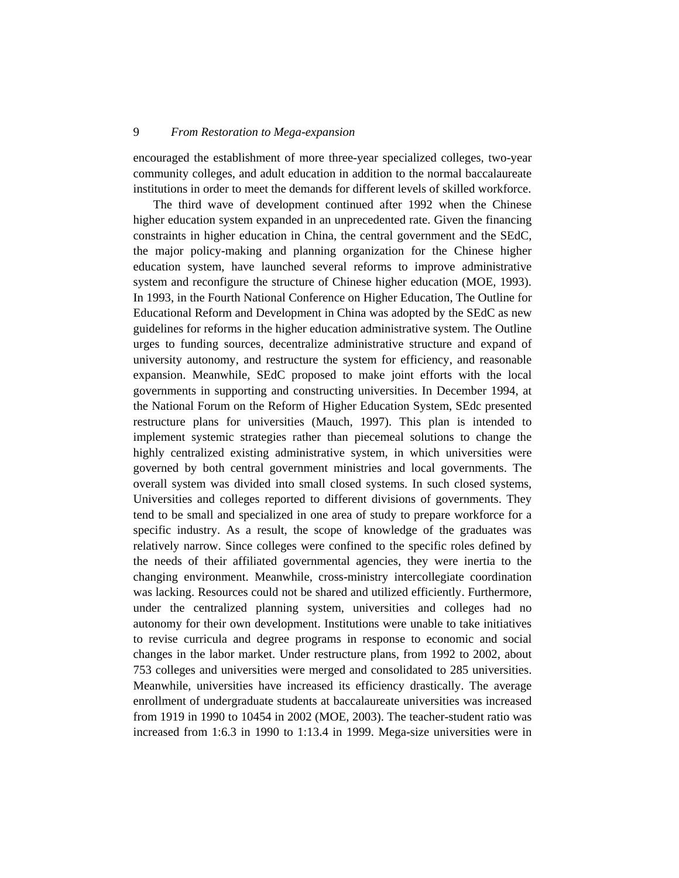encouraged the establishment of more three-year specialized colleges, two-year community colleges, and adult education in addition to the normal baccalaureate institutions in order to meet the demands for different levels of skilled workforce.

The third wave of development continued after 1992 when the Chinese higher education system expanded in an unprecedented rate. Given the financing constraints in higher education in China, the central government and the SEdC, the major policy-making and planning organization for the Chinese higher education system, have launched several reforms to improve administrative system and reconfigure the structure of Chinese higher education (MOE, 1993). In 1993, in the Fourth National Conference on Higher Education, The Outline for Educational Reform and Development in China was adopted by the SEdC as new guidelines for reforms in the higher education administrative system. The Outline urges to funding sources, decentralize administrative structure and expand of university autonomy, and restructure the system for efficiency, and reasonable expansion. Meanwhile, SEdC proposed to make joint efforts with the local governments in supporting and constructing universities. In December 1994, at the National Forum on the Reform of Higher Education System, SEdc presented restructure plans for universities (Mauch, 1997). This plan is intended to implement systemic strategies rather than piecemeal solutions to change the highly centralized existing administrative system, in which universities were governed by both central government ministries and local governments. The overall system was divided into small closed systems. In such closed systems, Universities and colleges reported to different divisions of governments. They tend to be small and specialized in one area of study to prepare workforce for a specific industry. As a result, the scope of knowledge of the graduates was relatively narrow. Since colleges were confined to the specific roles defined by the needs of their affiliated governmental agencies, they were inertia to the changing environment. Meanwhile, cross-ministry intercollegiate coordination was lacking. Resources could not be shared and utilized efficiently. Furthermore, under the centralized planning system, universities and colleges had no autonomy for their own development. Institutions were unable to take initiatives to revise curricula and degree programs in response to economic and social changes in the labor market. Under restructure plans, from 1992 to 2002, about 753 colleges and universities were merged and consolidated to 285 universities. Meanwhile, universities have increased its efficiency drastically. The average enrollment of undergraduate students at baccalaureate universities was increased from 1919 in 1990 to 10454 in 2002 (MOE, 2003). The teacher-student ratio was increased from 1:6.3 in 1990 to 1:13.4 in 1999. Mega-size universities were in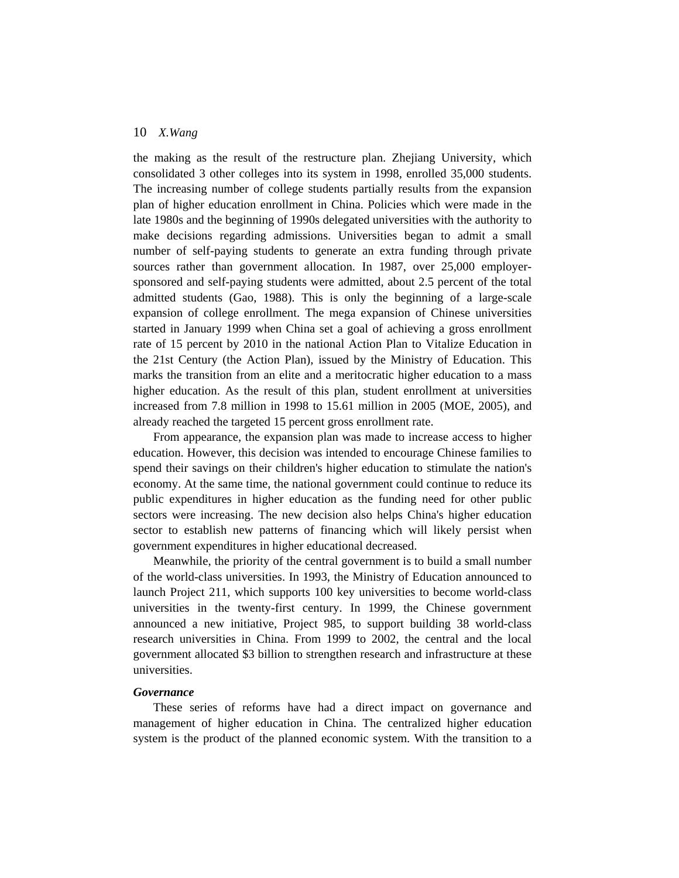the making as the result of the restructure plan. Zhejiang University, which consolidated 3 other colleges into its system in 1998, enrolled 35,000 students. The increasing number of college students partially results from the expansion plan of higher education enrollment in China. Policies which were made in the late 1980s and the beginning of 1990s delegated universities with the authority to make decisions regarding admissions. Universities began to admit a small number of self-paying students to generate an extra funding through private sources rather than government allocation. In 1987, over 25,000 employersponsored and self-paying students were admitted, about 2.5 percent of the total admitted students (Gao, 1988). This is only the beginning of a large-scale expansion of college enrollment. The mega expansion of Chinese universities started in January 1999 when China set a goal of achieving a gross enrollment rate of 15 percent by 2010 in the national Action Plan to Vitalize Education in the 21st Century (the Action Plan), issued by the Ministry of Education. This marks the transition from an elite and a meritocratic higher education to a mass higher education. As the result of this plan, student enrollment at universities increased from 7.8 million in 1998 to 15.61 million in 2005 (MOE, 2005), and already reached the targeted 15 percent gross enrollment rate.

From appearance, the expansion plan was made to increase access to higher education. However, this decision was intended to encourage Chinese families to spend their savings on their children's higher education to stimulate the nation's economy. At the same time, the national government could continue to reduce its public expenditures in higher education as the funding need for other public sectors were increasing. The new decision also helps China's higher education sector to establish new patterns of financing which will likely persist when government expenditures in higher educational decreased.

Meanwhile, the priority of the central government is to build a small number of the world-class universities. In 1993, the Ministry of Education announced to launch Project 211, which supports 100 key universities to become world-class universities in the twenty-first century. In 1999, the Chinese government announced a new initiative, Project 985, to support building 38 world-class research universities in China. From 1999 to 2002, the central and the local government allocated \$3 billion to strengthen research and infrastructure at these universities.

# *Governance*

These series of reforms have had a direct impact on governance and management of higher education in China. The centralized higher education system is the product of the planned economic system. With the transition to a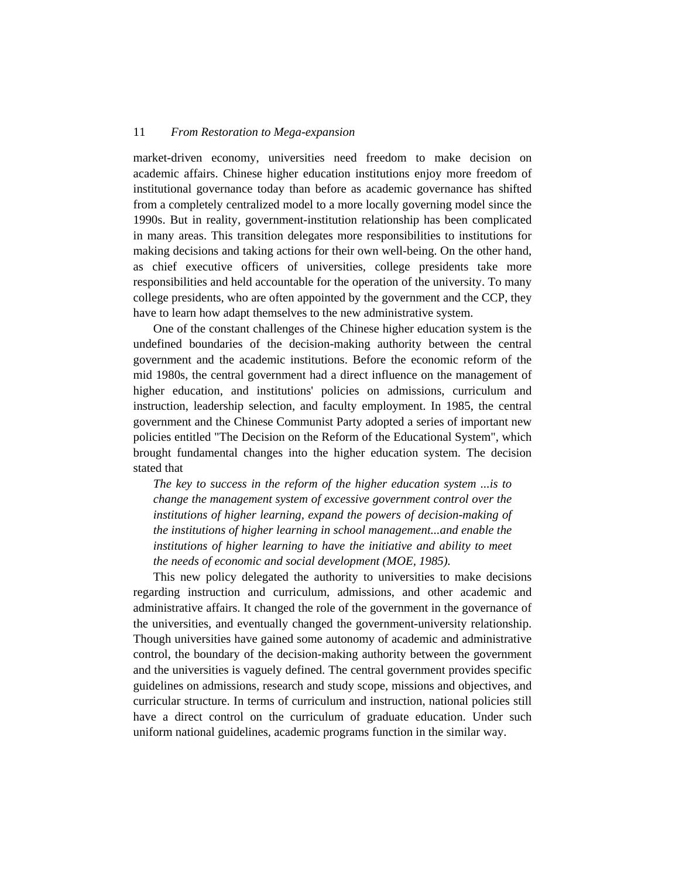market-driven economy, universities need freedom to make decision on academic affairs. Chinese higher education institutions enjoy more freedom of institutional governance today than before as academic governance has shifted from a completely centralized model to a more locally governing model since the 1990s. But in reality, government-institution relationship has been complicated in many areas. This transition delegates more responsibilities to institutions for making decisions and taking actions for their own well-being. On the other hand, as chief executive officers of universities, college presidents take more responsibilities and held accountable for the operation of the university. To many college presidents, who are often appointed by the government and the CCP, they have to learn how adapt themselves to the new administrative system.

One of the constant challenges of the Chinese higher education system is the undefined boundaries of the decision-making authority between the central government and the academic institutions. Before the economic reform of the mid 1980s, the central government had a direct influence on the management of higher education, and institutions' policies on admissions, curriculum and instruction, leadership selection, and faculty employment. In 1985, the central government and the Chinese Communist Party adopted a series of important new policies entitled "The Decision on the Reform of the Educational System", which brought fundamental changes into the higher education system. The decision stated that

*The key to success in the reform of the higher education system ...is to change the management system of excessive government control over the institutions of higher learning, expand the powers of decision-making of the institutions of higher learning in school management...and enable the institutions of higher learning to have the initiative and ability to meet the needs of economic and social development (MOE, 1985).* 

This new policy delegated the authority to universities to make decisions regarding instruction and curriculum, admissions, and other academic and administrative affairs. It changed the role of the government in the governance of the universities, and eventually changed the government-university relationship. Though universities have gained some autonomy of academic and administrative control, the boundary of the decision-making authority between the government and the universities is vaguely defined. The central government provides specific guidelines on admissions, research and study scope, missions and objectives, and curricular structure. In terms of curriculum and instruction, national policies still have a direct control on the curriculum of graduate education. Under such uniform national guidelines, academic programs function in the similar way.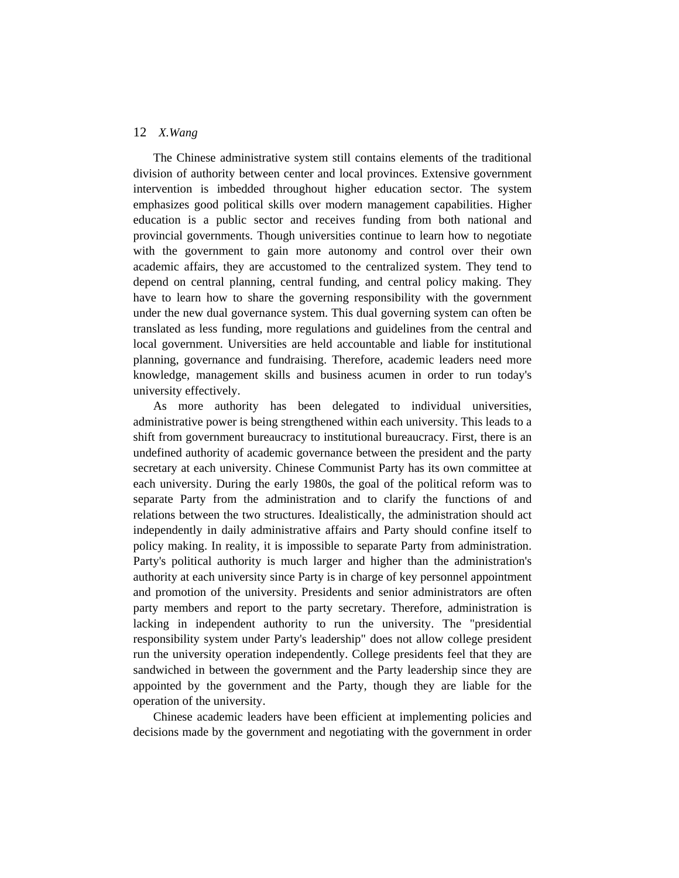The Chinese administrative system still contains elements of the traditional division of authority between center and local provinces. Extensive government intervention is imbedded throughout higher education sector. The system emphasizes good political skills over modern management capabilities. Higher education is a public sector and receives funding from both national and provincial governments. Though universities continue to learn how to negotiate with the government to gain more autonomy and control over their own academic affairs, they are accustomed to the centralized system. They tend to depend on central planning, central funding, and central policy making. They have to learn how to share the governing responsibility with the government under the new dual governance system. This dual governing system can often be translated as less funding, more regulations and guidelines from the central and local government. Universities are held accountable and liable for institutional planning, governance and fundraising. Therefore, academic leaders need more knowledge, management skills and business acumen in order to run today's university effectively.

As more authority has been delegated to individual universities, administrative power is being strengthened within each university. This leads to a shift from government bureaucracy to institutional bureaucracy. First, there is an undefined authority of academic governance between the president and the party secretary at each university. Chinese Communist Party has its own committee at each university. During the early 1980s, the goal of the political reform was to separate Party from the administration and to clarify the functions of and relations between the two structures. Idealistically, the administration should act independently in daily administrative affairs and Party should confine itself to policy making. In reality, it is impossible to separate Party from administration. Party's political authority is much larger and higher than the administration's authority at each university since Party is in charge of key personnel appointment and promotion of the university. Presidents and senior administrators are often party members and report to the party secretary. Therefore, administration is lacking in independent authority to run the university. The "presidential responsibility system under Party's leadership" does not allow college president run the university operation independently. College presidents feel that they are sandwiched in between the government and the Party leadership since they are appointed by the government and the Party, though they are liable for the operation of the university.

Chinese academic leaders have been efficient at implementing policies and decisions made by the government and negotiating with the government in order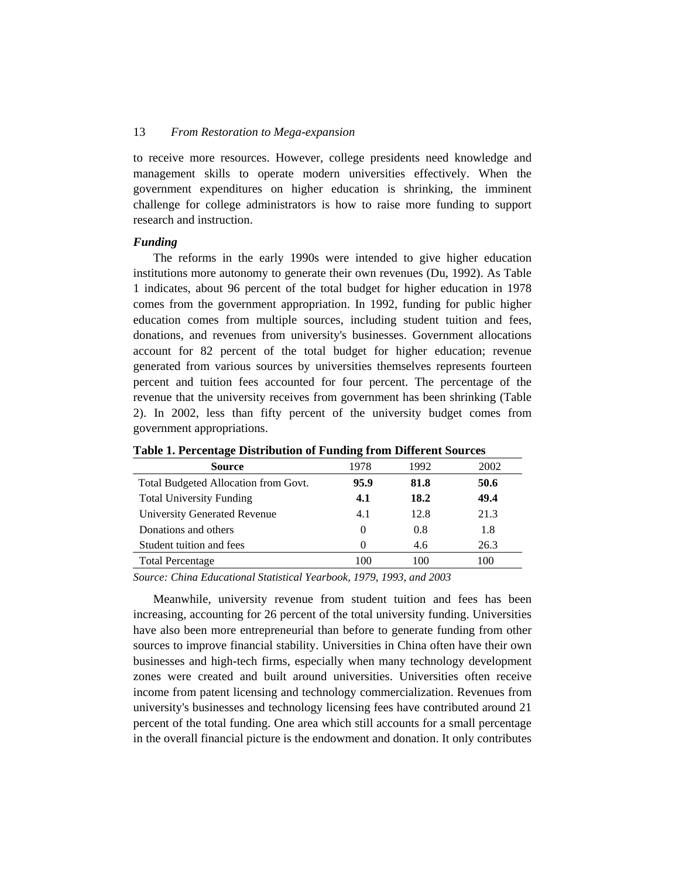to receive more resources. However, college presidents need knowledge and management skills to operate modern universities effectively. When the government expenditures on higher education is shrinking, the imminent challenge for college administrators is how to raise more funding to support research and instruction.

#### *Funding*

The reforms in the early 1990s were intended to give higher education institutions more autonomy to generate their own revenues (Du, 1992). As Table 1 indicates, about 96 percent of the total budget for higher education in 1978 comes from the government appropriation. In 1992, funding for public higher education comes from multiple sources, including student tuition and fees, donations, and revenues from university's businesses. Government allocations account for 82 percent of the total budget for higher education; revenue generated from various sources by universities themselves represents fourteen percent and tuition fees accounted for four percent. The percentage of the revenue that the university receives from government has been shrinking (Table 2). In 2002, less than fifty percent of the university budget comes from government appropriations.

| <b>Source</b>                        | 1978     | 1992 | 2002 |
|--------------------------------------|----------|------|------|
| Total Budgeted Allocation from Govt. | 95.9     | 81.8 | 50.6 |
| <b>Total University Funding</b>      | 4.1      | 18.2 | 49.4 |
| University Generated Revenue         | 4.1      | 12.8 | 21.3 |
| Donations and others                 | $\theta$ | 0.8  | 1.8  |
| Student tuition and fees             | $\Omega$ | 4.6  | 26.3 |
| <b>Total Percentage</b>              | 100      | 100  | 100  |

**Table 1. Percentage Distribution of Funding from Different Sources** 

*Source: China Educational Statistical Yearbook, 1979, 1993, and 2003*

Meanwhile, university revenue from student tuition and fees has been increasing, accounting for 26 percent of the total university funding. Universities have also been more entrepreneurial than before to generate funding from other sources to improve financial stability. Universities in China often have their own businesses and high-tech firms, especially when many technology development zones were created and built around universities. Universities often receive income from patent licensing and technology commercialization. Revenues from university's businesses and technology licensing fees have contributed around 21 percent of the total funding. One area which still accounts for a small percentage in the overall financial picture is the endowment and donation. It only contributes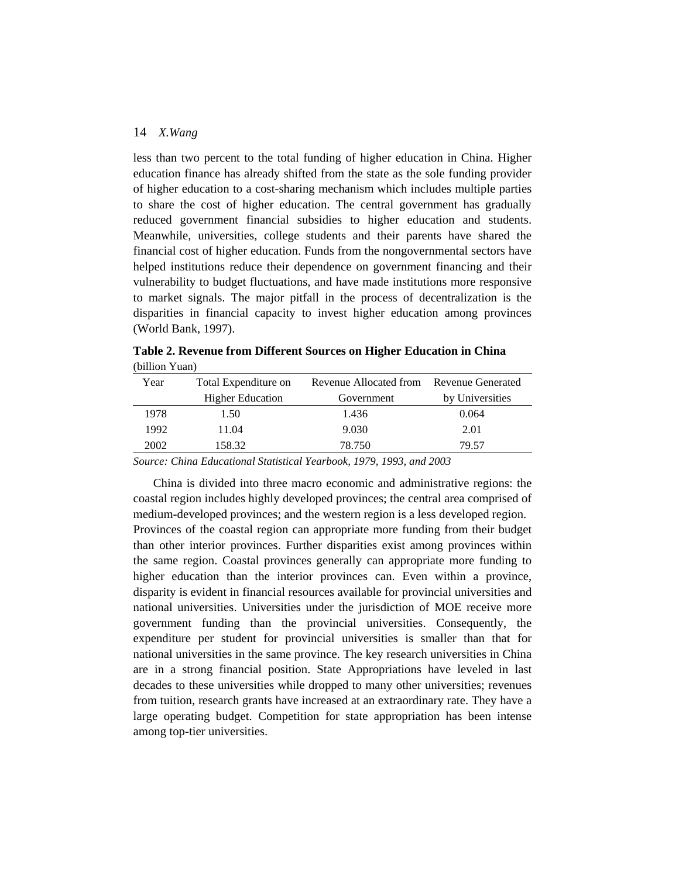less than two percent to the total funding of higher education in China. Higher education finance has already shifted from the state as the sole funding provider of higher education to a cost-sharing mechanism which includes multiple parties to share the cost of higher education. The central government has gradually reduced government financial subsidies to higher education and students. Meanwhile, universities, college students and their parents have shared the financial cost of higher education. Funds from the nongovernmental sectors have helped institutions reduce their dependence on government financing and their vulnerability to budget fluctuations, and have made institutions more responsive to market signals. The major pitfall in the process of decentralization is the disparities in financial capacity to invest higher education among provinces (World Bank, 1997).

| Year | Total Expenditure on    | Revenue Allocated from<br><b>Revenue Generated</b> |                 |  |
|------|-------------------------|----------------------------------------------------|-----------------|--|
|      | <b>Higher Education</b> | Government                                         | by Universities |  |
| 1978 | 1.50                    | 1.436                                              | 0.064           |  |
| 1992 | 11.04                   | 9.030                                              | 2.01            |  |
| 2002 | 158.32                  | 78.750                                             | 79.57           |  |
|      |                         |                                                    |                 |  |

**Table 2. Revenue from Different Sources on Higher Education in China**  (billion Yuan)

*Source: China Educational Statistical Yearbook, 1979, 1993, and 2003*

China is divided into three macro economic and administrative regions: the coastal region includes highly developed provinces; the central area comprised of medium-developed provinces; and the western region is a less developed region. Provinces of the coastal region can appropriate more funding from their budget than other interior provinces. Further disparities exist among provinces within the same region. Coastal provinces generally can appropriate more funding to higher education than the interior provinces can. Even within a province, disparity is evident in financial resources available for provincial universities and national universities. Universities under the jurisdiction of MOE receive more government funding than the provincial universities. Consequently, the expenditure per student for provincial universities is smaller than that for national universities in the same province. The key research universities in China are in a strong financial position. State Appropriations have leveled in last decades to these universities while dropped to many other universities; revenues from tuition, research grants have increased at an extraordinary rate. They have a large operating budget. Competition for state appropriation has been intense among top-tier universities.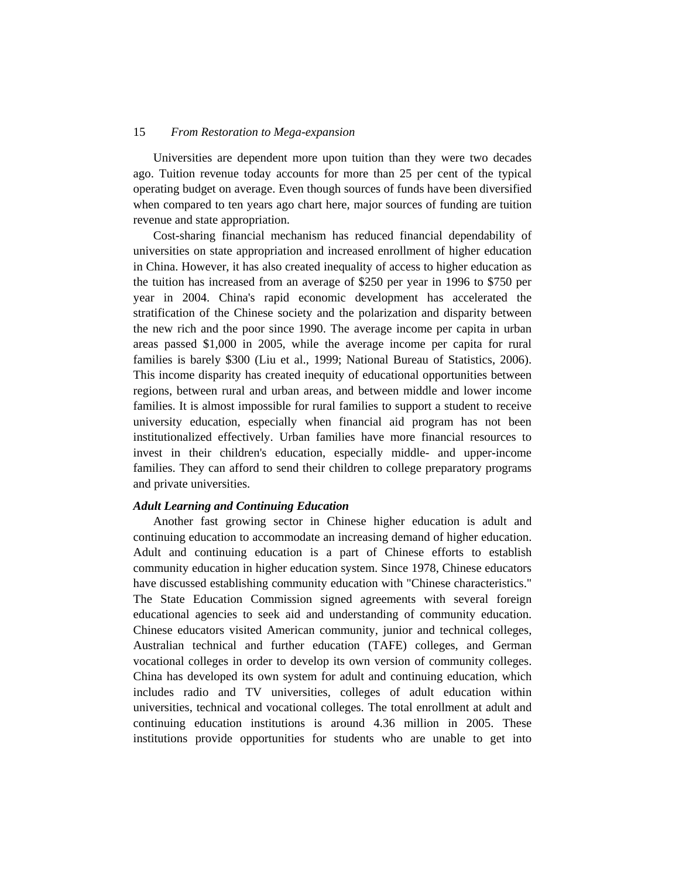Universities are dependent more upon tuition than they were two decades ago. Tuition revenue today accounts for more than 25 per cent of the typical operating budget on average. Even though sources of funds have been diversified when compared to ten years ago chart here, major sources of funding are tuition revenue and state appropriation.

Cost-sharing financial mechanism has reduced financial dependability of universities on state appropriation and increased enrollment of higher education in China. However, it has also created inequality of access to higher education as the tuition has increased from an average of \$250 per year in 1996 to \$750 per year in 2004. China's rapid economic development has accelerated the stratification of the Chinese society and the polarization and disparity between the new rich and the poor since 1990. The average income per capita in urban areas passed \$1,000 in 2005, while the average income per capita for rural families is barely \$300 (Liu et al., 1999; National Bureau of Statistics, 2006). This income disparity has created inequity of educational opportunities between regions, between rural and urban areas, and between middle and lower income families. It is almost impossible for rural families to support a student to receive university education, especially when financial aid program has not been institutionalized effectively. Urban families have more financial resources to invest in their children's education, especially middle- and upper-income families. They can afford to send their children to college preparatory programs and private universities.

#### *Adult Learning and Continuing Education*

Another fast growing sector in Chinese higher education is adult and continuing education to accommodate an increasing demand of higher education. Adult and continuing education is a part of Chinese efforts to establish community education in higher education system. Since 1978, Chinese educators have discussed establishing community education with "Chinese characteristics." The State Education Commission signed agreements with several foreign educational agencies to seek aid and understanding of community education. Chinese educators visited American community, junior and technical colleges, Australian technical and further education (TAFE) colleges, and German vocational colleges in order to develop its own version of community colleges. China has developed its own system for adult and continuing education, which includes radio and TV universities, colleges of adult education within universities, technical and vocational colleges. The total enrollment at adult and continuing education institutions is around 4.36 million in 2005. These institutions provide opportunities for students who are unable to get into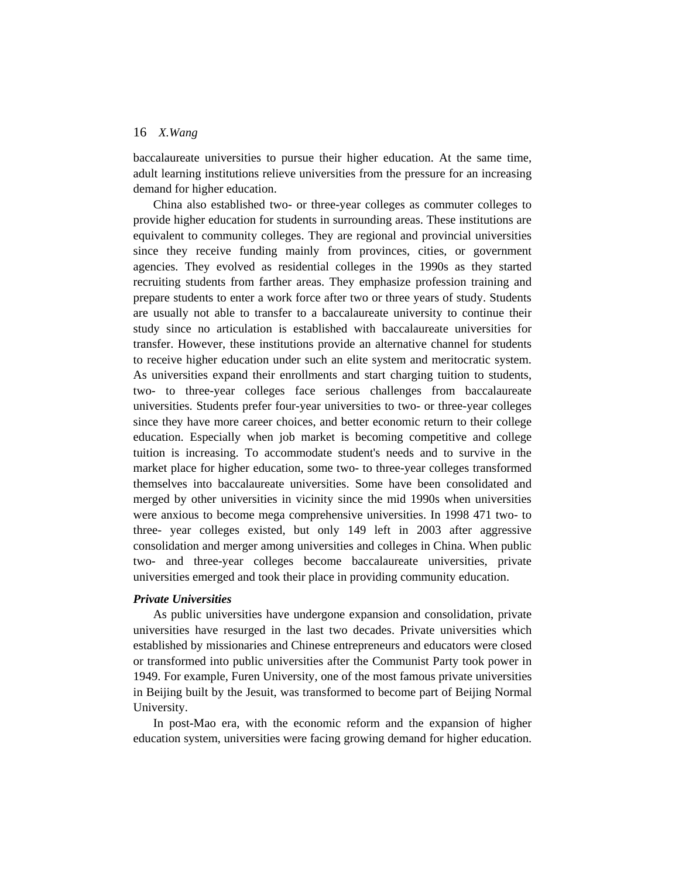baccalaureate universities to pursue their higher education. At the same time, adult learning institutions relieve universities from the pressure for an increasing demand for higher education.

China also established two- or three-year colleges as commuter colleges to provide higher education for students in surrounding areas. These institutions are equivalent to community colleges. They are regional and provincial universities since they receive funding mainly from provinces, cities, or government agencies. They evolved as residential colleges in the 1990s as they started recruiting students from farther areas. They emphasize profession training and prepare students to enter a work force after two or three years of study. Students are usually not able to transfer to a baccalaureate university to continue their study since no articulation is established with baccalaureate universities for transfer. However, these institutions provide an alternative channel for students to receive higher education under such an elite system and meritocratic system. As universities expand their enrollments and start charging tuition to students, two- to three-year colleges face serious challenges from baccalaureate universities. Students prefer four-year universities to two- or three-year colleges since they have more career choices, and better economic return to their college education. Especially when job market is becoming competitive and college tuition is increasing. To accommodate student's needs and to survive in the market place for higher education, some two- to three-year colleges transformed themselves into baccalaureate universities. Some have been consolidated and merged by other universities in vicinity since the mid 1990s when universities were anxious to become mega comprehensive universities. In 1998 471 two- to three- year colleges existed, but only 149 left in 2003 after aggressive consolidation and merger among universities and colleges in China. When public two- and three-year colleges become baccalaureate universities, private universities emerged and took their place in providing community education.

#### *Private Universities*

As public universities have undergone expansion and consolidation, private universities have resurged in the last two decades. Private universities which established by missionaries and Chinese entrepreneurs and educators were closed or transformed into public universities after the Communist Party took power in 1949. For example, Furen University, one of the most famous private universities in Beijing built by the Jesuit, was transformed to become part of Beijing Normal University.

In post-Mao era, with the economic reform and the expansion of higher education system, universities were facing growing demand for higher education.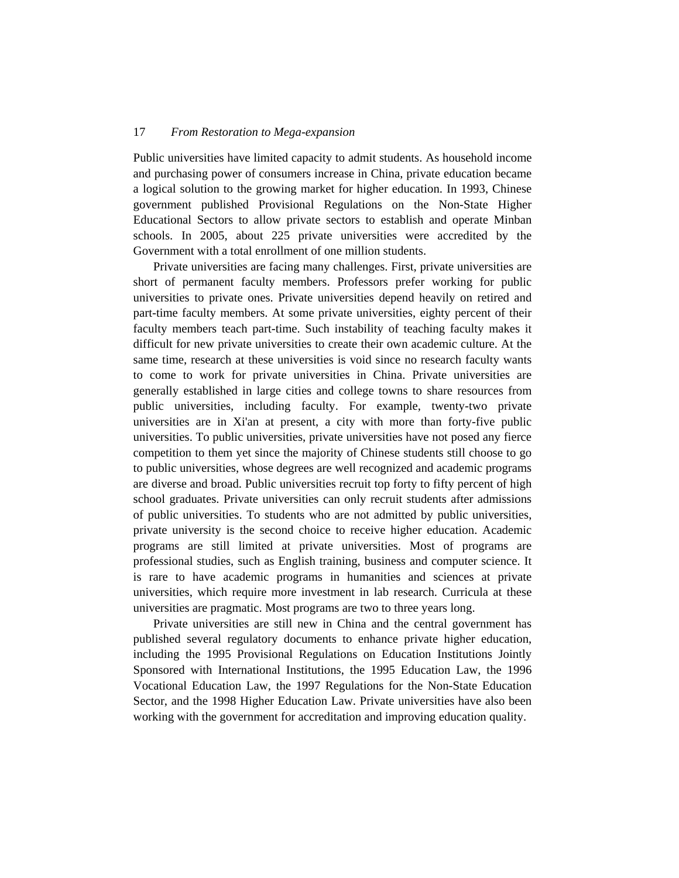Public universities have limited capacity to admit students. As household income and purchasing power of consumers increase in China, private education became a logical solution to the growing market for higher education. In 1993, Chinese government published Provisional Regulations on the Non-State Higher Educational Sectors to allow private sectors to establish and operate Minban schools. In 2005, about 225 private universities were accredited by the Government with a total enrollment of one million students.

Private universities are facing many challenges. First, private universities are short of permanent faculty members. Professors prefer working for public universities to private ones. Private universities depend heavily on retired and part-time faculty members. At some private universities, eighty percent of their faculty members teach part-time. Such instability of teaching faculty makes it difficult for new private universities to create their own academic culture. At the same time, research at these universities is void since no research faculty wants to come to work for private universities in China. Private universities are generally established in large cities and college towns to share resources from public universities, including faculty. For example, twenty-two private universities are in Xi'an at present, a city with more than forty-five public universities. To public universities, private universities have not posed any fierce competition to them yet since the majority of Chinese students still choose to go to public universities, whose degrees are well recognized and academic programs are diverse and broad. Public universities recruit top forty to fifty percent of high school graduates. Private universities can only recruit students after admissions of public universities. To students who are not admitted by public universities, private university is the second choice to receive higher education. Academic programs are still limited at private universities. Most of programs are professional studies, such as English training, business and computer science. It is rare to have academic programs in humanities and sciences at private universities, which require more investment in lab research. Curricula at these universities are pragmatic. Most programs are two to three years long.

Private universities are still new in China and the central government has published several regulatory documents to enhance private higher education, including the 1995 Provisional Regulations on Education Institutions Jointly Sponsored with International Institutions, the 1995 Education Law, the 1996 Vocational Education Law, the 1997 Regulations for the Non-State Education Sector, and the 1998 Higher Education Law. Private universities have also been working with the government for accreditation and improving education quality.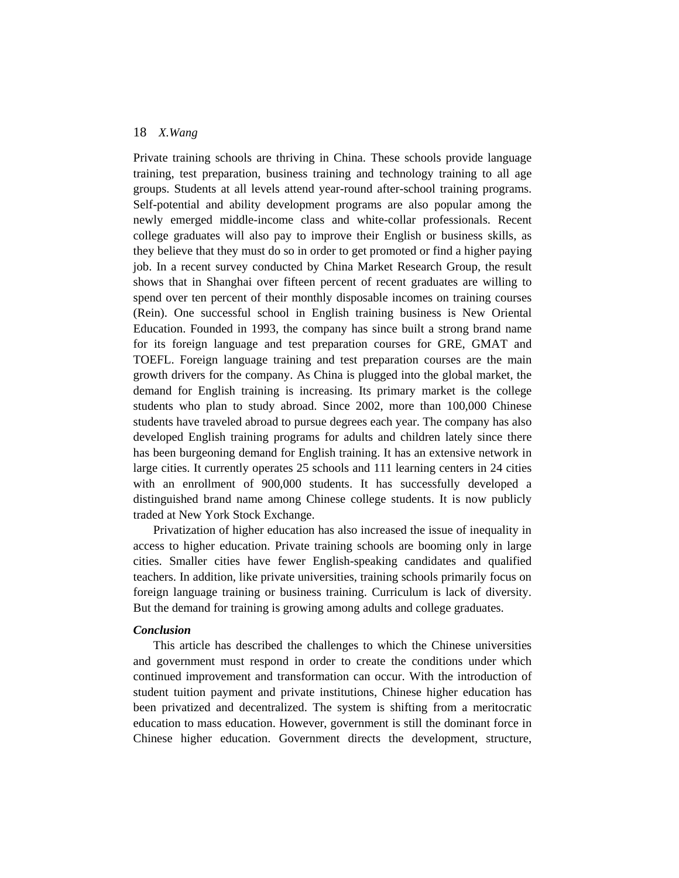Private training schools are thriving in China. These schools provide language training, test preparation, business training and technology training to all age groups. Students at all levels attend year-round after-school training programs. Self-potential and ability development programs are also popular among the newly emerged middle-income class and white-collar professionals. Recent college graduates will also pay to improve their English or business skills, as they believe that they must do so in order to get promoted or find a higher paying job. In a recent survey conducted by China Market Research Group, the result shows that in Shanghai over fifteen percent of recent graduates are willing to spend over ten percent of their monthly disposable incomes on training courses (Rein). One successful school in English training business is New Oriental Education. Founded in 1993, the company has since built a strong brand name for its foreign language and test preparation courses for GRE, GMAT and TOEFL. Foreign language training and test preparation courses are the main growth drivers for the company. As China is plugged into the global market, the demand for English training is increasing. Its primary market is the college students who plan to study abroad. Since 2002, more than 100,000 Chinese students have traveled abroad to pursue degrees each year. The company has also developed English training programs for adults and children lately since there has been burgeoning demand for English training. It has an extensive network in large cities. It currently operates 25 schools and 111 learning centers in 24 cities with an enrollment of 900,000 students. It has successfully developed a distinguished brand name among Chinese college students. It is now publicly traded at New York Stock Exchange.

Privatization of higher education has also increased the issue of inequality in access to higher education. Private training schools are booming only in large cities. Smaller cities have fewer English-speaking candidates and qualified teachers. In addition, like private universities, training schools primarily focus on foreign language training or business training. Curriculum is lack of diversity. But the demand for training is growing among adults and college graduates.

## *Conclusion*

This article has described the challenges to which the Chinese universities and government must respond in order to create the conditions under which continued improvement and transformation can occur. With the introduction of student tuition payment and private institutions, Chinese higher education has been privatized and decentralized. The system is shifting from a meritocratic education to mass education. However, government is still the dominant force in Chinese higher education. Government directs the development, structure,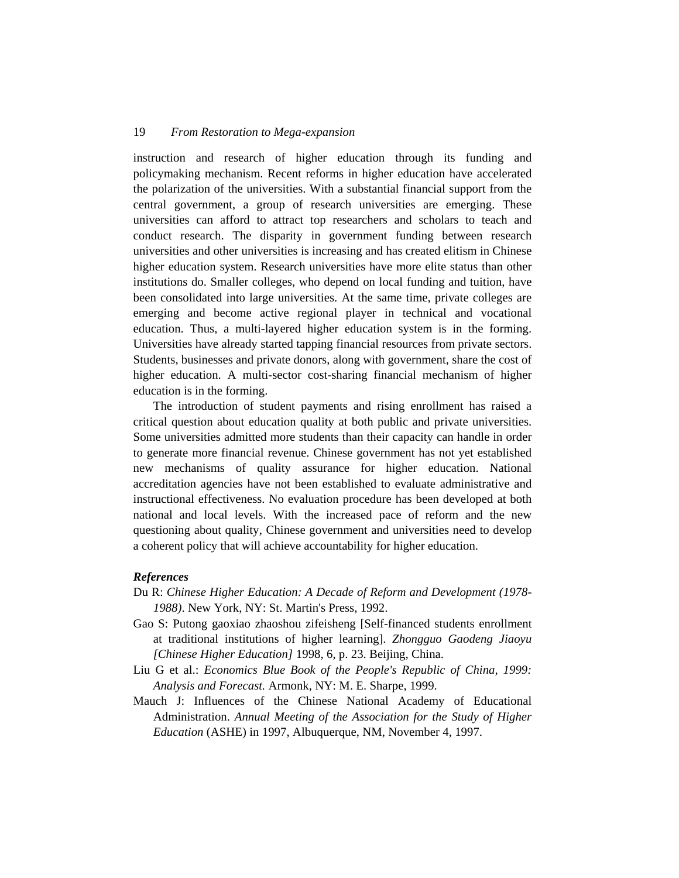instruction and research of higher education through its funding and policymaking mechanism. Recent reforms in higher education have accelerated the polarization of the universities. With a substantial financial support from the central government, a group of research universities are emerging. These universities can afford to attract top researchers and scholars to teach and conduct research. The disparity in government funding between research universities and other universities is increasing and has created elitism in Chinese higher education system. Research universities have more elite status than other institutions do. Smaller colleges, who depend on local funding and tuition, have been consolidated into large universities. At the same time, private colleges are emerging and become active regional player in technical and vocational education. Thus, a multi-layered higher education system is in the forming. Universities have already started tapping financial resources from private sectors. Students, businesses and private donors, along with government, share the cost of higher education. A multi-sector cost-sharing financial mechanism of higher education is in the forming.

The introduction of student payments and rising enrollment has raised a critical question about education quality at both public and private universities. Some universities admitted more students than their capacity can handle in order to generate more financial revenue. Chinese government has not yet established new mechanisms of quality assurance for higher education. National accreditation agencies have not been established to evaluate administrative and instructional effectiveness. No evaluation procedure has been developed at both national and local levels. With the increased pace of reform and the new questioning about quality, Chinese government and universities need to develop a coherent policy that will achieve accountability for higher education.

#### *References*

- Du R: *Chinese Higher Education: A Decade of Reform and Development (1978- 1988)*. New York, NY: St. Martin's Press, 1992.
- Gao S: Putong gaoxiao zhaoshou zifeisheng [Self-financed students enrollment at traditional institutions of higher learning]. *Zhongguo Gaodeng Jiaoyu [Chinese Higher Education]* 1998, 6, p. 23. Beijing, China.
- Liu G et al.: *Economics Blue Book of the People's Republic of China, 1999: Analysis and Forecast.* Armonk, NY: M. E. Sharpe, 1999.
- Mauch J: Influences of the Chinese National Academy of Educational Administration. *Annual Meeting of the Association for the Study of Higher Education* (ASHE) in 1997, Albuquerque, NM, November 4, 1997.